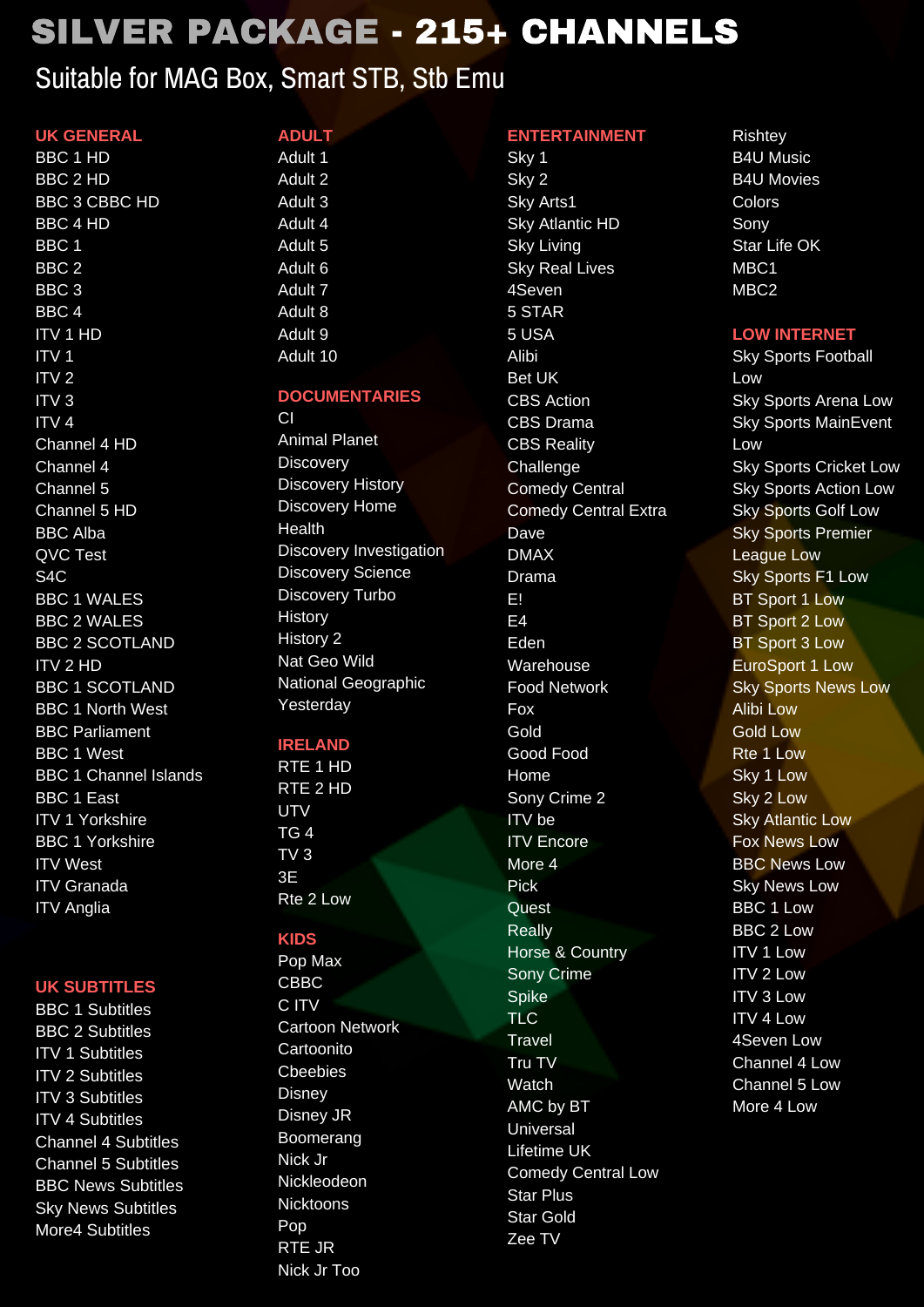# SILVER PACKAGE - 215+ CHANNELS

# Suitable for MAG Box, Smart STB, Stb Emu

#### **UK GENERAL** BBC 1 HD

BBC 2 HD BBC 3 CBBC HD BBC 4 HD BBC 1  $BC 2$ BBC 3 BBC 4 ITV 1 HD  $\sum_{i=1}^{n}$  $\frac{1}{10}$  $\frac{1}{\pi}$ ITV 4 Channel 4 HD Channel 4 Channel 5 Channel 5 HD BBC Alba QVC Test  $\frac{1}{24}$ C BBC 1 WALES BBC 2 WALES BBC 2 SCOTLAND **ITV 2 HD** BBC 1 SCOTLAND BBC 1 North West BBC Parliament BBC 1 West BBC 1 Channel Islands BBC 1 East ITV 1 Yorkshire BBC 1 Yorkshire ITV West ITV Granada ITV Anglia

### **UK SUBTITLES**

BBC 1 Subtitles BBC 2 Subtitles ITV 1 Subtitles ITV 2 Subtitles ITV 3 Subtitles ITV 4 Subtitles Channel 4 Subtitles Channel 5 Subtitles BBC News Subtitles Sky News Subtitles More4 Subtitles

| Adult 1            |
|--------------------|
| Adult 2            |
| Adult 3            |
| Adult 4            |
| Adult 5            |
| Adult 6            |
| Adult 7            |
| Adult <sub>8</sub> |
| Adult 9            |
| Adult 10           |

#### **DOCUMENTARIES**

**City** Animal Planet **Discovery** Discovery History Discovery Home Health Discovery Investigation Discovery Science Discovery Turbo History History 2 Nature Corporation National Geographic Yesterday

## **IRELAND**

RTE 1 HD RTE 2 HD UTV TG 4 TV 3 Rte 2 Low

## **KIDS**

Pop Max CBBC C ITV Cartoon Network Cartoonito Cbeebies Disney Disney JR Boomerang Nick Jr Nickleodeon Nicktoons Pop RTE JR Nick Jr Too

### **ENTERTAINMENT**

Sky 1 Sky 2 Sky Arts1 Sky Atlantic HD Sky Living Sky Real Lives 4Seven 5 STAR 5 USA Bet UK CBS Action CBS Drama CBS Reality Challenge Comedy Central Comedy Central Extra Dave DMAX. Drama E4 Eden Warehouse Food Network Fox Gold Good Food Home Sony Crime 2 ITV be ITV Encore More 4 Pick Quest Really Horse & Country Sony Crime Spike TLC Travel Tru TV Watch AMC by BT Universal Lifetime UK Comedy Central Low Star Plus Star Gold Zee TV

Rishtey B4U Music B4U Movies Colors Sony Star Life OK MBC1 MBC2

#### **LOW INTERN**

Sky Sports Football Low Sky Sports Arena Low Sky Sports MainEvent Low Sky Sports Cricket Low Sky Sports Action Low Sky Sports Golf Low Sky Sports Premier League Low Sky Sports F1 Low BT Sport 1 Low BT Sport 2 Low BT Sport 3 Low EuroSport 1 Low Sky Sports News Low Alibi Low Gold Low Rte 1 Low Sky 1 Low Sky 2 Low Sky Atlantic Low Fox News Low BBC News Low Sky News Low BBC 1 Low BBC 2 Low ITV 1 Low ITV 2 Low ITV 3 Low ITV 4 Low 4Seven Low Channel 4 Low Channel 5 Low More 4 Low